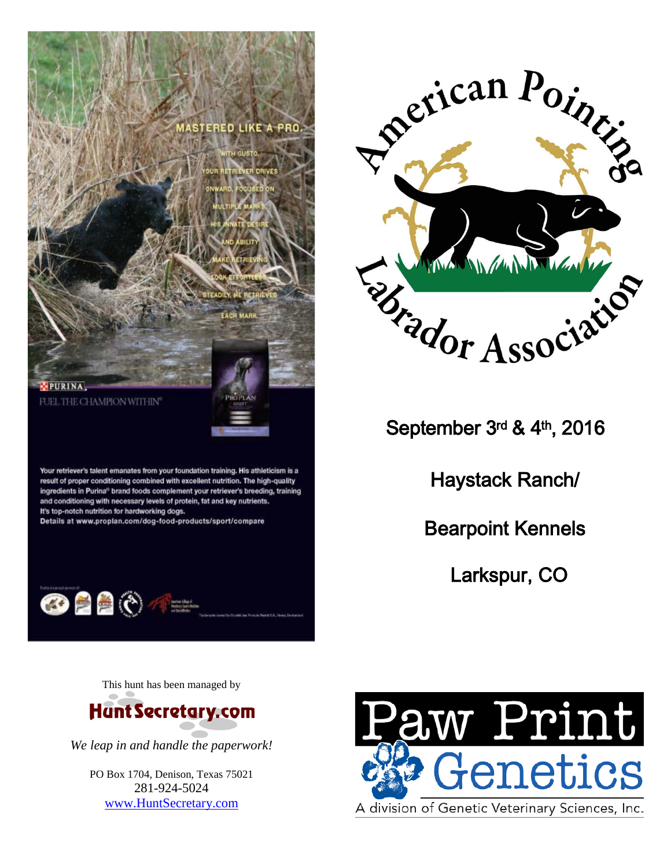



September 3rd & 4th , 2016

Haystack Ranch/

Bearpoint Kennels

Larkspur, CO

This hunt has been managed by

Your retriever's talent emanates from your foundation training. His athleticism is a result of proper conditioning combined with excellent nutrition. The high-quality ingredients in Purina® brand foods complement your retriever's breeding, training and conditioning with necessary levels of protein, fat and key nutrients.

Details at www.proplan.com/dog-food-products/sport/compare

It's top-notch nutrition for hardworking dogs.

**OBBO** 



*We leap in and handle the paperwork!* 

PO Box 1704, Denison, Texas 75021 281-924-5024 [www.HuntSecretary.com](http://www.huntsecretary.com/)

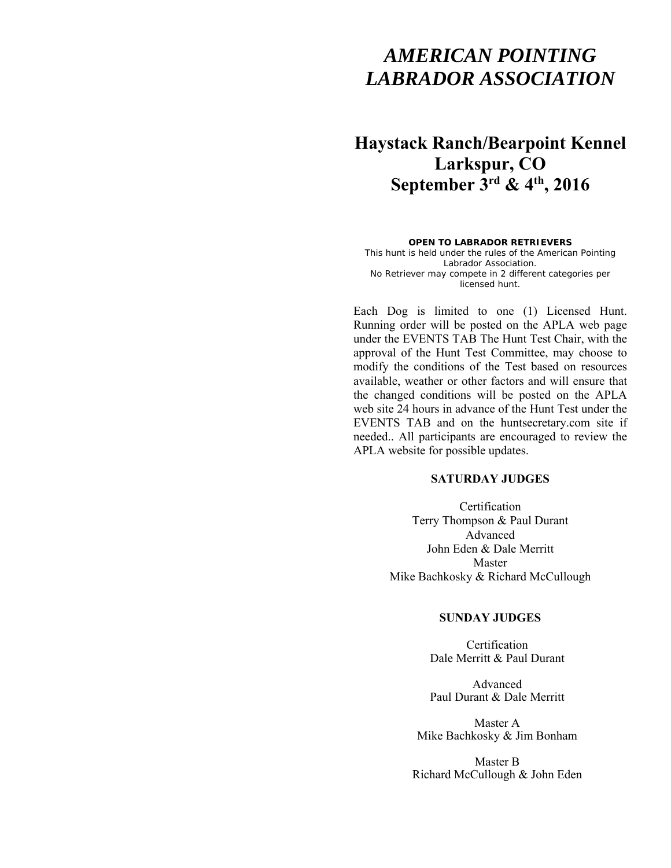# *AMERICAN POINTING LABRADOR ASSOCIATION*

# **Haystack Ranch/Bearpoint Kennel Larkspur, CO September 3rd & 4th, 2016**

#### **OPEN TO LABRADOR RETRIEVERS**

This hunt is held under the rules of the American Pointing Labrador Association. No Retriever may compete in 2 different categories per licensed hunt.

Each Dog is limited to one (1) Licensed Hunt. Running order will be posted on the APLA web page under the EVENTS TAB The Hunt Test Chair, with the approval of the Hunt Test Committee, may choose to modify the conditions of the Test based on resources available, weather or other factors and will ensure that the changed conditions will be posted on the APLA web site 24 hours in advance of the Hunt Test under the EVENTS TAB and on the huntsecretary.com site if needed.. All participants are encouraged to review the APLA website for possible updates.

# **SATURDAY JUDGES**

Certification Terry Thompson & Paul Durant Advanced John Eden & Dale Merritt Master Mike Bachkosky & Richard McCullough

# **SUNDAY JUDGES**

Certification Dale Merritt & Paul Durant

Advanced Paul Durant & Dale Merritt

Master A Mike Bachkosky & Jim Bonham

Master B Richard McCullough & John Eden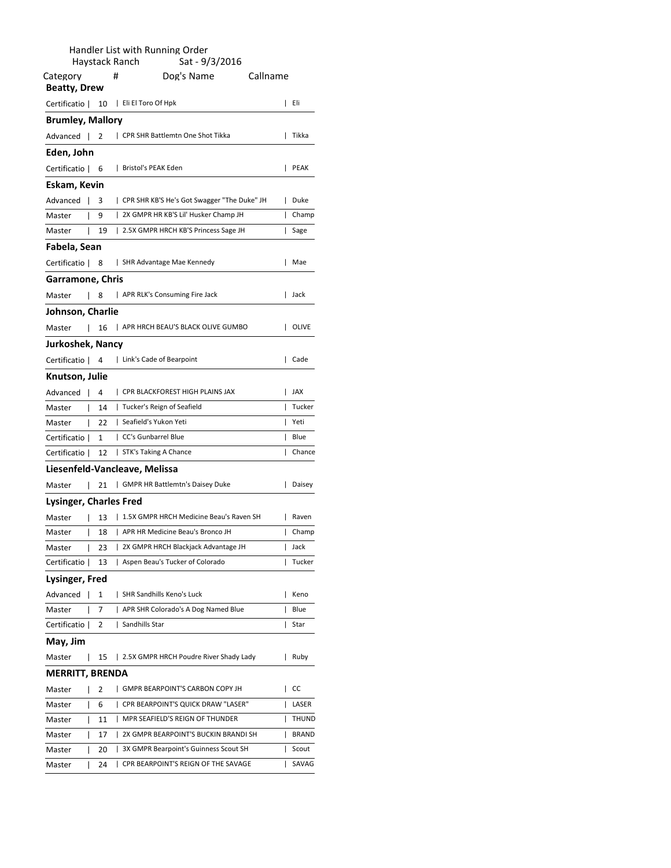|                                 |                                                                                |            |   | Handler List with Running Order<br>Sat - 9/3/2016<br>Haystack Ranch     |          |                |  |  |  |  |
|---------------------------------|--------------------------------------------------------------------------------|------------|---|-------------------------------------------------------------------------|----------|----------------|--|--|--|--|
| Category<br><b>Beatty, Drew</b> |                                                                                |            | # | Dog's Name                                                              | Callname |                |  |  |  |  |
| Certificatio                    |                                                                                | - 10       |   | Eli El Toro Of Hpk                                                      | L        | Eli            |  |  |  |  |
| <b>Brumley, Mallory</b>         |                                                                                |            |   |                                                                         |          |                |  |  |  |  |
| Advanced                        |                                                                                | 2          |   | CPR SHR Battlemtn One Shot Tikka                                        |          | Tikka          |  |  |  |  |
| Eden, John                      |                                                                                |            |   |                                                                         |          |                |  |  |  |  |
| Certificatio                    |                                                                                | - 6        |   | Bristol's PEAK Eden                                                     | L        | <b>PEAK</b>    |  |  |  |  |
| Eskam, Kevin                    |                                                                                |            |   |                                                                         |          |                |  |  |  |  |
| Advanced                        |                                                                                | 3          |   | CPR SHR KB'S He's Got Swagger "The Duke" JH                             |          | Duke           |  |  |  |  |
| Master                          | I                                                                              | 9          |   | 2X GMPR HR KB'S Lil' Husker Champ JH                                    | ı        | Champ          |  |  |  |  |
| Master                          | I                                                                              | 19         |   | 2.5X GMPR HRCH KB'S Princess Sage JH                                    | L        | Sage           |  |  |  |  |
| Fabela, Sean                    |                                                                                |            |   |                                                                         |          |                |  |  |  |  |
| Certificatio   8                |                                                                                |            |   | SHR Advantage Mae Kennedy                                               |          | Mae            |  |  |  |  |
| Garramone, Chris                |                                                                                |            |   |                                                                         |          |                |  |  |  |  |
| Master                          | I                                                                              | 8          |   | APR RLK's Consuming Fire Jack                                           | L        | Jack           |  |  |  |  |
| Johnson, Charlie                |                                                                                |            |   |                                                                         |          |                |  |  |  |  |
| Master                          | I                                                                              | 16         |   | APR HRCH BEAU'S BLACK OLIVE GUMBO                                       |          | OLIVE          |  |  |  |  |
|                                 |                                                                                |            |   |                                                                         |          |                |  |  |  |  |
| Jurkoshek, Nancy                |                                                                                |            |   | Link's Cade of Bearpoint                                                | L        | Cade           |  |  |  |  |
| Certificatio                    |                                                                                | 4          |   |                                                                         |          |                |  |  |  |  |
| Knutson, Julie                  |                                                                                |            |   |                                                                         |          |                |  |  |  |  |
| Advanced                        | $\overline{1}$                                                                 | 4          |   | CPR BLACKFOREST HIGH PLAINS JAX                                         | L        | JAX<br>Tucker  |  |  |  |  |
| Master                          | L<br>L                                                                         | - 14<br>22 |   | Tucker's Reign of Seafield<br>  Seafield's Yukon Yeti                   | L<br>I   | Yeti           |  |  |  |  |
| Master<br>Certificatio          |                                                                                | 1          |   | CC's Gunbarrel Blue                                                     | L        | Blue           |  |  |  |  |
|                                 |                                                                                |            |   |                                                                         | I        | Chance         |  |  |  |  |
|                                 | STK's Taking A Chance<br>Certificatio  <br>12<br>Liesenfeld-Vancleave, Melissa |            |   |                                                                         |          |                |  |  |  |  |
| Master                          |                                                                                |            |   | GMPR HR Battlemtn's Daisey Duke                                         |          | Daisey         |  |  |  |  |
|                                 | I                                                                              | 21         |   |                                                                         |          |                |  |  |  |  |
| Lysinger, Charles Fred          |                                                                                |            |   |                                                                         |          |                |  |  |  |  |
| Master                          | I                                                                              | 13         |   | 1.5X GMPR HRCH Medicine Beau's Raven SH                                 | L        | Raven          |  |  |  |  |
| Master                          | I                                                                              | 18         | L | APR HR Medicine Beau's Bronco JH<br>2X GMPR HRCH Blackjack Advantage JH | I        | Champ          |  |  |  |  |
| Master<br>Certificatio          | I                                                                              | 23<br>13   |   | Aspen Beau's Tucker of Colorado                                         | I<br>L   | Jack<br>Tucker |  |  |  |  |
|                                 |                                                                                |            |   |                                                                         |          |                |  |  |  |  |
| Lysinger, Fred<br>Advanced      |                                                                                | 1          |   | SHR Sandhills Keno's Luck                                               |          | Keno           |  |  |  |  |
| Master                          |                                                                                | 7          |   | APR SHR Colorado's A Dog Named Blue                                     |          | Blue           |  |  |  |  |
| Certificatio                    |                                                                                | 2          |   | Sandhills Star                                                          | ı        | Star           |  |  |  |  |
|                                 |                                                                                |            |   |                                                                         |          |                |  |  |  |  |
| May, Jim                        |                                                                                |            |   |                                                                         |          |                |  |  |  |  |
| Master                          | I                                                                              | 15         |   | 2.5X GMPR HRCH Poudre River Shady Lady                                  |          | Ruby           |  |  |  |  |
| <b>MERRITT, BRENDA</b>          |                                                                                |            |   |                                                                         |          |                |  |  |  |  |
| Master                          | I                                                                              | 2          |   | GMPR BEARPOINT'S CARBON COPY JH                                         |          | CC             |  |  |  |  |
| Master                          | I                                                                              | 6          |   | CPR BEARPOINT'S QUICK DRAW "LASER"                                      | I        | LASER          |  |  |  |  |
| Master                          | I                                                                              | 11         |   | MPR SEAFIELD'S REIGN OF THUNDER                                         | ı        | THUND          |  |  |  |  |
| Master                          | I                                                                              | 17         |   | 2X GMPR BEARPOINT'S BUCKIN BRANDI SH                                    |          | BRAND          |  |  |  |  |
| Master                          | I                                                                              | 20         |   | 3X GMPR Bearpoint's Guinness Scout SH                                   | I        | Scout          |  |  |  |  |
| Master                          | I                                                                              | 24         | L | CPR BEARPOINT'S REIGN OF THE SAVAGE                                     | ı        | SAVAG          |  |  |  |  |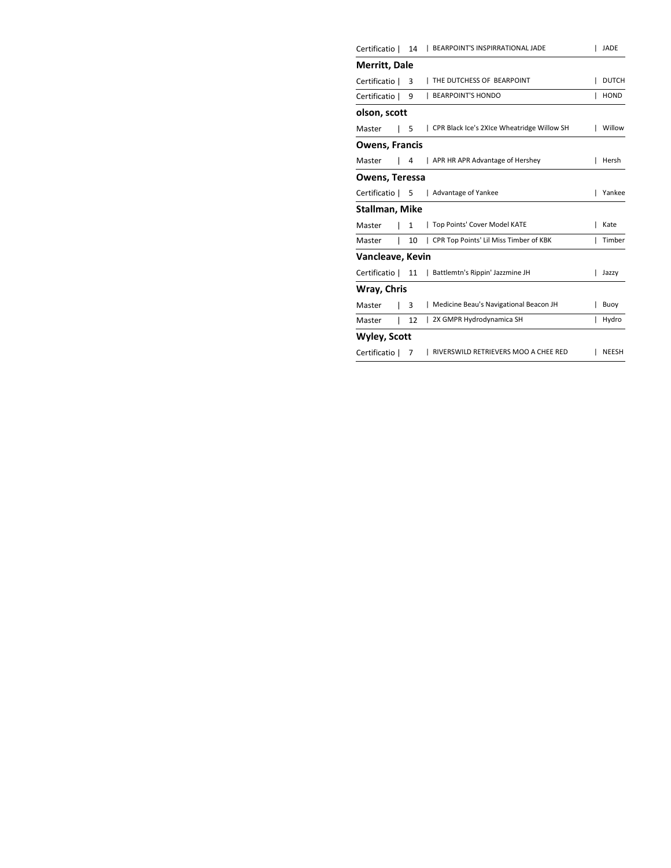| Certificatio          | 14           | <b>BEARPOINT'S INSPIRRATIONAL JADE</b>     |   | <b>JADE</b>  |
|-----------------------|--------------|--------------------------------------------|---|--------------|
| Merritt, Dale         |              |                                            |   |              |
| Certificatio          | 3            | THE DUTCHESS OF BEARPOINT                  |   | <b>DUTCH</b> |
| Certificatio          | 9            | <b>BEARPOINT'S HONDO</b>                   |   | <b>HOND</b>  |
| olson, scott          |              |                                            |   |              |
| Master                | 5            | CPR Black Ice's 2XIce Wheatridge Willow SH |   | Willow       |
| <b>Owens, Francis</b> |              |                                            |   |              |
| Master                | 4            | APR HR APR Advantage of Hershey            |   | Hersh        |
| Owens, Teressa        |              |                                            |   |              |
| Certificatio          | -5           | Advantage of Yankee                        |   | Yankee       |
| Stallman, Mike        |              |                                            |   |              |
| Master                | $\mathbf{1}$ | Top Points' Cover Model KATE               |   | Kate         |
| Master                | 10           | CPR Top Points' Lil Miss Timber of KBK     |   | Timber       |
| Vancleave, Kevin      |              |                                            |   |              |
| Certificatio          | 11           | Battlemtn's Rippin' Jazzmine JH            |   | Jazzy        |
| Wray, Chris           |              |                                            |   |              |
| Master                | 3            | Medicine Beau's Navigational Beacon JH     |   | Buoy         |
| Master                | 12           | 2X GMPR Hydrodynamica SH                   | ı | Hydro        |
| <b>Wyley, Scott</b>   |              |                                            |   |              |
| Certificatio          | 7            | RIVERSWILD RETRIEVERS MOO A CHEE RED       |   | <b>NEESH</b> |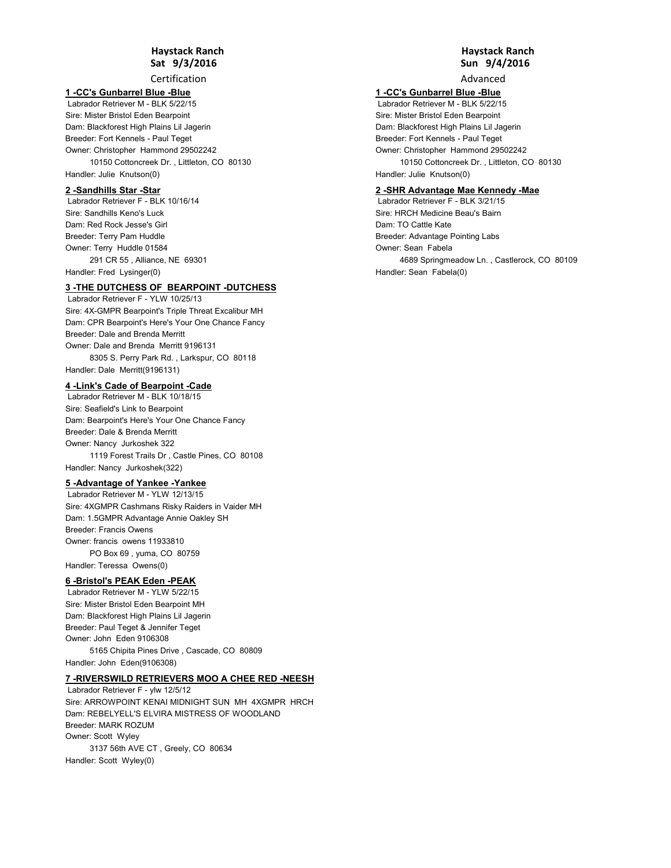Certification

#### **1 -CC's Gunbarrel Blue -Blue**

 Labrador Retriever M - BLK 5/22/15 Sire: Mister Bristol Eden Bearpoint Dam: Blackforest High Plains Lil Jagerin Owner: Christopher Hammond 29502242 10150 Cottoncreek Dr. , Littleton, CO 80130 Handler: Julie Knutson(0) Breeder: Fort Kennels - Paul Teget

#### **2 -Sandhills Star -Star**

 Labrador Retriever F - BLK 10/16/14 Sire: Sandhills Keno's Luck Dam: Red Rock Jesse's Girl Owner: Terry Huddle 01584 291 CR 55 , Alliance, NE 69301 Handler: Fred Lysinger(0) Breeder: Terry Pam Huddle

**3 -THE DUTCHESS OF BEARPOINT -DUTCHESS**

 Labrador Retriever F - YLW 10/25/13 Sire: 4X-GMPR Bearpoint's Triple Threat Excalibur MH Dam: CPR Bearpoint's Here's Your One Chance Fancy Owner: Dale and Brenda Merritt 9196131 8305 S. Perry Park Rd. , Larkspur, CO 80118 Handler: Dale Merritt(9196131) Breeder: Dale and Brenda Merritt

# **4 -Link's Cade of Bearpoint -Cade**

 Labrador Retriever M - BLK 10/18/15 Sire: Seafield's Link to Bearpoint Dam: Bearpoint's Here's Your One Chance Fancy Owner: Nancy Jurkoshek 322 1119 Forest Trails Dr , Castle Pines, CO 80108 Handler: Nancy Jurkoshek(322) Breeder: Dale & Brenda Merritt

#### **5 -Advantage of Yankee -Yankee**

 Labrador Retriever M - YLW 12/13/15 Sire: 4XGMPR Cashmans Risky Raiders in Vaider MH Dam: 1.5GMPR Advantage Annie Oakley SH Owner: francis owens 11933810 PO Box 69 , yuma, CO 80759 Handler: Teressa Owens(0) Breeder: Francis Owens

#### **6 -Bristol's PEAK Eden -PEAK**

 Labrador Retriever M - YLW 5/22/15 Sire: Mister Bristol Eden Bearpoint MH Dam: Blackforest High Plains Lil Jagerin Owner: John Eden 9106308 5165 Chipita Pines Drive , Cascade, CO 80809 Breeder: Paul Teget & Jennifer Teget

Handler: John Eden(9106308)

#### **7 -RIVERSWILD RETRIEVERS MOO A CHEE RED -NEESH**

 Labrador Retriever F - ylw 12/5/12 Sire: ARROWPOINT KENAI MIDNIGHT SUN MH 4XGMPR HRCH Dam: REBELYELL'S ELVIRA MISTRESS OF WOODLAND Owner: Scott Wyley 3137 56th AVE CT , Greely, CO 80634 Handler: Scott Wyley(0) Breeder: MARK ROZUM

# **Sun 9/4/2016 Haystack Ranch**

Advanced

# **1 -CC's Gunbarrel Blue -Blue**

 Labrador Retriever M - BLK 5/22/15 Sire: Mister Bristol Eden Bearpoint Dam: Blackforest High Plains Lil Jagerin Owner: Christopher Hammond 29502242 10150 Cottoncreek Dr. , Littleton, CO 80130 Handler: Julie Knutson(0) Breeder: Fort Kennels - Paul Teget

#### **2 -SHR Advantage Mae Kennedy -Mae**

 Labrador Retriever F - BLK 3/21/15 Sire: HRCH Medicine Beau's Bairn Dam: TO Cattle Kate Owner: Sean Fabela 4689 Springmeadow Ln. , Castlerock, CO 80109 Handler: Sean Fabela(0) Breeder: Advantage Pointing Labs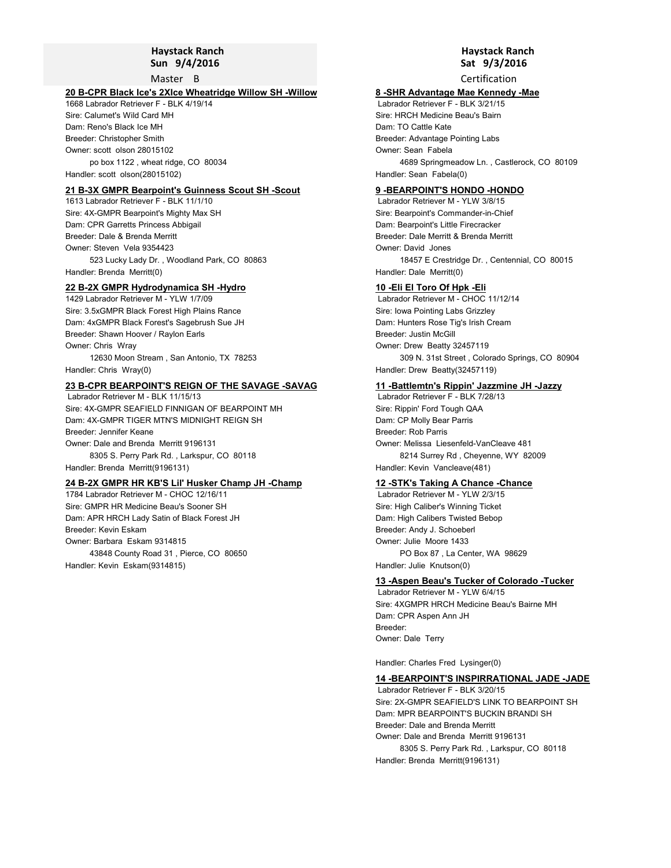#### **Sun 9/4/2016 Haystack Ranch**

Master B

## **20 B-CPR Black Ice's 2XIce Wheatridge Willow SH -Willow**

1668 Labrador Retriever F - BLK 4/19/14 Sire: Calumet's Wild Card MH Dam: Reno's Black Ice MH Owner: scott olson 28015102 po box 1122 , wheat ridge, CO 80034 Handler: scott olson(28015102) Breeder: Christopher Smith

#### **21 B-3X GMPR Bearpoint's Guinness Scout SH -Scout**

1613 Labrador Retriever F - BLK 11/1/10 Sire: 4X-GMPR Bearpoint's Mighty Max SH Dam: CPR Garretts Princess Abbigail Owner: Steven Vela 9354423 523 Lucky Lady Dr. , Woodland Park, CO 80863 Handler: Brenda Merritt(0) Breeder: Dale & Brenda Merritt

#### **22 B-2X GMPR Hydrodynamica SH -Hydro**

1429 Labrador Retriever M - YLW 1/7/09 Sire: 3.5xGMPR Black Forest High Plains Rance Dam: 4xGMPR Black Forest's Sagebrush Sue JH Owner: Chris Wray 12630 Moon Stream , San Antonio, TX 78253 Handler: Chris Wray(0) Breeder: Shawn Hoover / Raylon Earls

# **23 B-CPR BEARPOINT'S REIGN OF THE SAVAGE -SAVAG**

 Labrador Retriever M - BLK 11/15/13 Sire: 4X-GMPR SEAFIELD FINNIGAN OF BEARPOINT MH Dam: 4X-GMPR TIGER MTN'S MIDNIGHT REIGN SH Owner: Dale and Brenda Merritt 9196131 8305 S. Perry Park Rd. , Larkspur, CO 80118 Handler: Brenda Merritt(9196131) Breeder: Jennifer Keane

# **24 B-2X GMPR HR KB'S Lil' Husker Champ JH -Champ**

1784 Labrador Retriever M - CHOC 12/16/11 Sire: GMPR HR Medicine Beau's Sooner SH Dam: APR HRCH Lady Satin of Black Forest JH Owner: Barbara Eskam 9314815 43848 County Road 31 , Pierce, CO 80650 Handler: Kevin Eskam(9314815) Breeder: Kevin Eskam

# **Sat 9/3/2016 Haystack Ranch**

Certification

#### **8 -SHR Advantage Mae Kennedy -Mae**

 Labrador Retriever F - BLK 3/21/15 Sire: HRCH Medicine Beau's Bairn Dam: TO Cattle Kate Owner: Sean Fabela 4689 Springmeadow Ln. , Castlerock, CO 80109 Handler: Sean Fabela(0) Breeder: Advantage Pointing Labs

#### **9 -BEARPOINT'S HONDO -HONDO**

 Labrador Retriever M - YLW 3/8/15 Sire: Bearpoint's Commander-in-Chief Dam: Bearpoint's Little Firecracker Owner: David Jones 18457 E Crestridge Dr. , Centennial, CO 80015 Handler: Dale Merritt(0) Breeder: Dale Merritt & Brenda Merritt

#### **10 -Eli El Toro Of Hpk -Eli**

 Labrador Retriever M - CHOC 11/12/14 Sire: Iowa Pointing Labs Grizzley Dam: Hunters Rose Tig's Irish Cream Owner: Drew Beatty 32457119 309 N. 31st Street , Colorado Springs, CO 80904 Handler: Drew Beatty(32457119) Breeder: Justin McGill

#### **11 -Battlemtn's Rippin' Jazzmine JH -Jazzy**

 Labrador Retriever F - BLK 7/28/13 Sire: Rippin' Ford Tough QAA Dam: CP Molly Bear Parris Owner: Melissa Liesenfeld-VanCleave 481 8214 Surrey Rd , Cheyenne, WY 82009 Handler: Kevin Vancleave(481) Breeder: Rob Parris

# **12 -STK's Taking A Chance -Chance**

 Labrador Retriever M - YLW 2/3/15 Sire: High Caliber's Winning Ticket Dam: High Calibers Twisted Bebop Owner: Julie Moore 1433 PO Box 87 , La Center, WA 98629 Handler: Julie Knutson(0) Breeder: Andy J. Schoeberl

#### **13 -Aspen Beau's Tucker of Colorado -Tucker**

 Labrador Retriever M - YLW 6/4/15 Sire: 4XGMPR HRCH Medicine Beau's Bairne MH Dam: CPR Aspen Ann JH Owner: Dale Terry Breeder:

Handler: Charles Fred Lysinger(0)

#### **14 -BEARPOINT'S INSPIRRATIONAL JADE -JADE**

 Labrador Retriever F - BLK 3/20/15 Sire: 2X-GMPR SEAFIELD'S LINK TO BEARPOINT SH Dam: MPR BEARPOINT'S BUCKIN BRANDI SH Owner: Dale and Brenda Merritt 9196131 8305 S. Perry Park Rd. , Larkspur, CO 80118 Handler: Brenda Merritt(9196131) Breeder: Dale and Brenda Merritt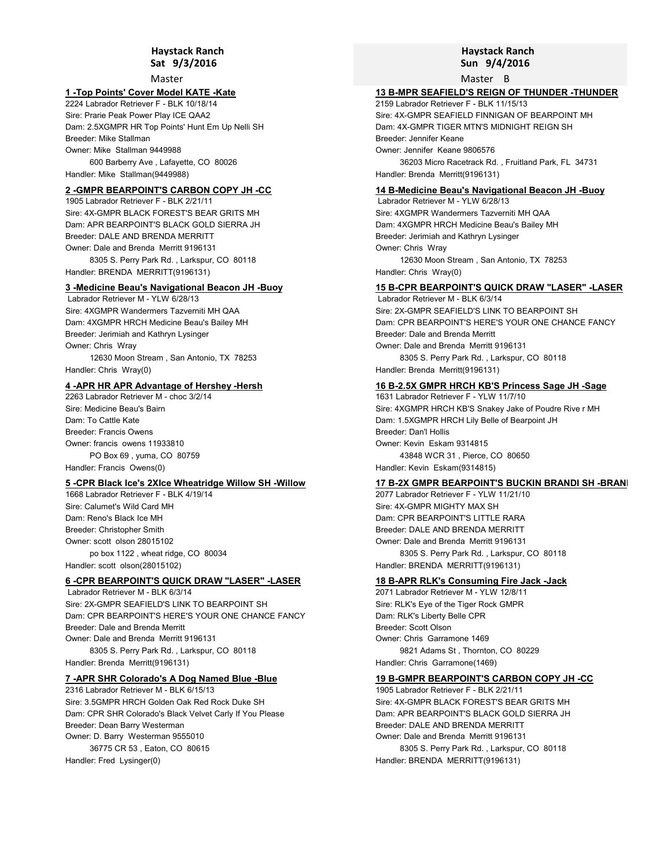Master

#### **1 -Top Points' Cover Model KATE -Kate**

2224 Labrador Retriever F - BLK 10/18/14 Sire: Prarie Peak Power Play ICE QAA2 Dam: 2.5XGMPR HR Top Points' Hunt Em Up Nelli SH Owner: Mike Stallman 9449988 600 Barberry Ave , Lafayette, CO 80026 Handler: Mike Stallman(9449988) Breeder: Mike Stallman

## **2 -GMPR BEARPOINT'S CARBON COPY JH -CC**

1905 Labrador Retriever F - BLK 2/21/11 Sire: 4X-GMPR BLACK FOREST'S BEAR GRITS MH Dam: APR BEARPOINT'S BLACK GOLD SIERRA JH Owner: Dale and Brenda Merritt 9196131 8305 S. Perry Park Rd. , Larkspur, CO 80118 Breeder: DALE AND BRENDA MERRITT

Handler: BRENDA MERRITT(9196131)

# **3 -Medicine Beau's Navigational Beacon JH -Buoy**

 Labrador Retriever M - YLW 6/28/13 Sire: 4XGMPR Wandermers Tazverniti MH QAA Dam: 4XGMPR HRCH Medicine Beau's Bailey MH Owner: Chris Wray 12630 Moon Stream , San Antonio, TX 78253 Handler: Chris Wray(0) Breeder: Jerimiah and Kathryn Lysinger

# **4 -APR HR APR Advantage of Hershey -Hersh**

2263 Labrador Retriever M - choc 3/2/14 Sire: Medicine Beau's Bairn Dam: To Cattle Kate Owner: francis owens 11933810 PO Box 69 , yuma, CO 80759 Handler: Francis Owens(0) Breeder: Francis Owens

# **5 -CPR Black Ice's 2XIce Wheatridge Willow SH -Willow**

1668 Labrador Retriever F - BLK 4/19/14 Sire: Calumet's Wild Card MH Dam: Reno's Black Ice MH Owner: scott olson 28015102 po box 1122 , wheat ridge, CO 80034 Handler: scott olson(28015102) Breeder: Christopher Smith

#### **6 -CPR BEARPOINT'S QUICK DRAW "LASER" -LASER**

 Labrador Retriever M - BLK 6/3/14 Sire: 2X-GMPR SEAFIELD'S LINK TO BEARPOINT SH Dam: CPR BEARPOINT'S HERE'S YOUR ONE CHANCE FANCY Owner: Dale and Brenda Merritt 9196131 8305 S. Perry Park Rd. , Larkspur, CO 80118 Handler: Brenda Merritt(9196131) Breeder: Dale and Brenda Merritt

# **7 -APR SHR Colorado's A Dog Named Blue -Blue**

2316 Labrador Retriever M - BLK 6/15/13 Sire: 3.5GMPR HRCH Golden Oak Red Rock Duke SH Dam: CPR SHR Colorado's Black Velvet Carly If You Please Owner: D. Barry Westerman 9555010 36775 CR 53 , Eaton, CO 80615 Handler: Fred Lysinger(0) Breeder: Dean Barry Westerman

# **Sun 9/4/2016 Haystack Ranch**

Master B

# **13 B-MPR SEAFIELD'S REIGN OF THUNDER -THUNDER**

2159 Labrador Retriever F - BLK 11/15/13 Sire: 4X-GMPR SEAFIELD FINNIGAN OF BEARPOINT MH Dam: 4X-GMPR TIGER MTN'S MIDNIGHT REIGN SH Owner: Jennifer Keane 9806576 36203 Micro Racetrack Rd. , Fruitland Park, FL 34731 Handler: Brenda Merritt(9196131) Breeder: Jennifer Keane

#### **14 B-Medicine Beau's Navigational Beacon JH -Buoy**

 Labrador Retriever M - YLW 6/28/13 Sire: 4XGMPR Wandermers Tazverniti MH QAA Dam: 4XGMPR HRCH Medicine Beau's Bailey MH Owner: Chris Wray 12630 Moon Stream , San Antonio, TX 78253 Handler: Chris Wray(0) Breeder: Jerimiah and Kathryn Lysinger

#### **15 B-CPR BEARPOINT'S QUICK DRAW "LASER" -LASER** Labrador Retriever M - BLK 6/3/14

Sire: 2X-GMPR SEAFIELD'S LINK TO BEARPOINT SH Dam: CPR BEARPOINT'S HERE'S YOUR ONE CHANCE FANCY Owner: Dale and Brenda Merritt 9196131 8305 S. Perry Park Rd. , Larkspur, CO 80118 Handler: Brenda Merritt(9196131) Breeder: Dale and Brenda Merritt

# **16 B-2.5X GMPR HRCH KB'S Princess Sage JH -Sage**

1631 Labrador Retriever F - YLW 11/7/10 Sire: 4XGMPR HRCH KB'S Snakey Jake of Poudre Rive r MH Dam: 1.5XGMPR HRCH Lily Belle of Bearpoint JH Owner: Kevin Eskam 9314815 43848 WCR 31 , Pierce, CO 80650 Handler: Kevin Eskam(9314815) Breeder: Dan'l Hollis

## **17 B-2X GMPR BEARPOINT'S BUCKIN BRANDI SH - BRAN**

2077 Labrador Retriever F - YLW 11/21/10 Sire: 4X-GMPR MIGHTY MAX SH Dam: CPR BEARPOINT'S LITTLE RARA Owner: Dale and Brenda Merritt 9196131 8305 S. Perry Park Rd. , Larkspur, CO 80118 Handler: BRENDA MERRITT(9196131) Breeder: DALE AND BRENDA MERRITT

#### **18 B-APR RLK's Consuming Fire Jack -Jack**

2071 Labrador Retriever M - YLW 12/8/11 Sire: RLK's Eye of the Tiger Rock GMPR Dam: RLK's Liberty Belle CPR Owner: Chris Garramone 1469 9821 Adams St , Thornton, CO 80229 Handler: Chris Garramone(1469) Breeder: Scott Olson

#### **19 B-GMPR BEARPOINT'S CARBON COPY JH -CC**

1905 Labrador Retriever F - BLK 2/21/11 Sire: 4X-GMPR BLACK FOREST'S BEAR GRITS MH Dam: APR BEARPOINT'S BLACK GOLD SIERRA JH Owner: Dale and Brenda Merritt 9196131 8305 S. Perry Park Rd. , Larkspur, CO 80118 Handler: BRENDA MERRITT(9196131) Breeder: DALE AND BRENDA MERRITT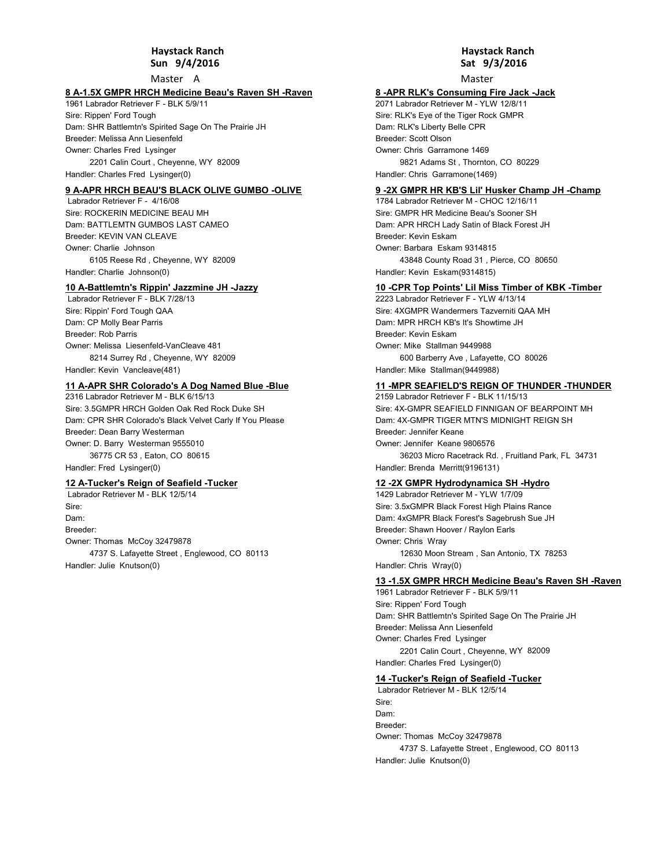#### **Sun 9/4/2016 Haystack Ranch**

Master A

#### **8 A-1.5X GMPR HRCH Medicine Beau's Raven SH -Raven**

1961 Labrador Retriever F - BLK 5/9/11 Sire: Rippen' Ford Tough Dam: SHR Battlemtn's Spirited Sage On The Prairie JH Owner: Charles Fred Lysinger 2201 Calin Court , Cheyenne, WY 82009 Handler: Charles Fred Lysinger(0) Breeder: Melissa Ann Liesenfeld

#### **9 A-APR HRCH BEAU'S BLACK OLIVE GUMBO -OLIVE**

 Labrador Retriever F - 4/16/08 Sire: ROCKERIN MEDICINE BEAU MH Dam: BATTLEMTN GUMBOS LAST CAMEO Owner: Charlie Johnson 6105 Reese Rd , Cheyenne, WY 82009 Handler: Charlie Johnson(0) Breeder: KFVIN VAN CLEAVE

# **10 A-Battlemtn's Rippin' Jazzmine JH -Jazzy**

 Labrador Retriever F - BLK 7/28/13 Sire: Rippin' Ford Tough QAA Dam: CP Molly Bear Parris Owner: Melissa Liesenfeld-VanCleave 481 8214 Surrey Rd , Cheyenne, WY 82009 Handler: Kevin Vancleave(481) Breeder: Rob Parris

# **11 A-APR SHR Colorado's A Dog Named Blue -Blue**

2316 Labrador Retriever M - BLK 6/15/13 Sire: 3.5GMPR HRCH Golden Oak Red Rock Duke SH Dam: CPR SHR Colorado's Black Velvet Carly If You Please Owner: D. Barry Westerman 9555010 36775 CR 53 , Eaton, CO 80615 Handler: Fred Lysinger(0) Breeder: Dean Barry Westerman

#### **12 A-Tucker's Reign of Seafield -Tucker**

 Labrador Retriever M - BLK 12/5/14 Sire: Dam: Owner: Thomas McCoy 32479878 4737 S. Lafayette Street , Englewood, CO 80113 Handler: Julie Knutson(0) Breeder:

# **Sat 9/3/2016 Haystack Ranch**

Master

#### **8 -APR RLK's Consuming Fire Jack -Jack**

2071 Labrador Retriever M - YLW 12/8/11 Sire: RLK's Eye of the Tiger Rock GMPR Dam: RLK's Liberty Belle CPR Owner: Chris Garramone 1469 9821 Adams St , Thornton, CO 80229 Handler: Chris Garramone(1469) Breeder: Scott Olson

#### **9 -2X GMPR HR KB'S Lil' Husker Champ JH -Champ**

1784 Labrador Retriever M - CHOC 12/16/11 Sire: GMPR HR Medicine Beau's Sooner SH Dam: APR HRCH Lady Satin of Black Forest JH Owner: Barbara Eskam 9314815 43848 County Road 31 , Pierce, CO 80650 Handler: Kevin Eskam(9314815) Breeder: Kevin Eskam

#### **10 -CPR Top Points' Lil Miss Timber of KBK -Timber**

2223 Labrador Retriever F - YLW 4/13/14 Sire: 4XGMPR Wandermers Tazverniti QAA MH Dam: MPR HRCH KB's It's Showtime JH Owner: Mike Stallman 9449988 600 Barberry Ave , Lafayette, CO 80026 Handler: Mike Stallman(9449988) Breeder: Kevin Eskam

# **11 -MPR SEAFIELD'S REIGN OF THUNDER -THUNDER**

2159 Labrador Retriever F - BLK 11/15/13 Sire: 4X-GMPR SEAFIELD FINNIGAN OF BEARPOINT MH Dam: 4X-GMPR TIGER MTN'S MIDNIGHT REIGN SH Owner: Jennifer Keane 9806576 36203 Micro Racetrack Rd. , Fruitland Park, FL 34731 Handler: Brenda Merritt(9196131) Breeder: Jennifer Keane

#### **12 -2X GMPR Hydrodynamica SH -Hydro**

1429 Labrador Retriever M - YLW 1/7/09 Sire: 3.5xGMPR Black Forest High Plains Rance Dam: 4xGMPR Black Forest's Sagebrush Sue JH Owner: Chris Wray 12630 Moon Stream , San Antonio, TX 78253 Handler: Chris Wray(0) Breeder: Shawn Hoover / Raylon Earls

#### **13 -1.5X GMPR HRCH Medicine Beau's Raven SH -Raven**

1961 Labrador Retriever F - BLK 5/9/11 Sire: Rippen' Ford Tough Dam: SHR Battlemtn's Spirited Sage On The Prairie JH Owner: Charles Fred Lysinger 2201 Calin Court , Cheyenne, WY 82009 Handler: Charles Fred Lysinger(0) Breeder: Melissa Ann Liesenfeld

# **14 -Tucker's Reign of Seafield -Tucker**

 Labrador Retriever M - BLK 12/5/14 Sire: Dam: Owner: Thomas McCoy 32479878 4737 S. Lafayette Street , Englewood, CO 80113 Handler: Julie Knutson(0) Breeder: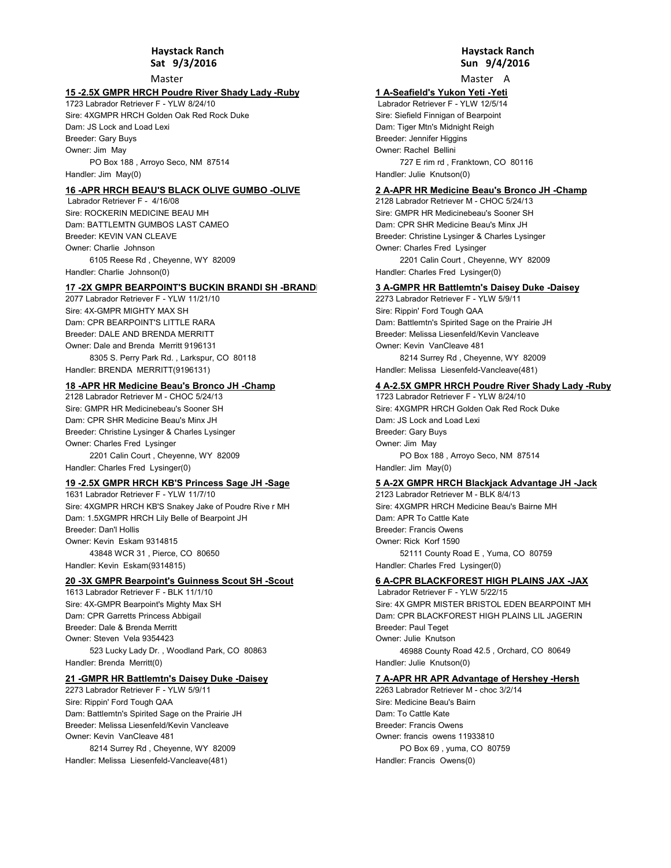Master

# **15 -2.5X GMPR HRCH Poudre River Shady Lady -Ruby**

1723 Labrador Retriever F - YLW 8/24/10 Sire: 4XGMPR HRCH Golden Oak Red Rock Duke Dam: JS Lock and Load Lexi Owner: Jim May PO Box 188 , Arroyo Seco, NM 87514 Handler: Jim May(0) Breeder: Gary Buys

#### **16 -APR HRCH BEAU'S BLACK OLIVE GUMBO -OLIVE**

 Labrador Retriever F - 4/16/08 Sire: ROCKERIN MEDICINE BEAU MH Dam: BATTLEMTN GUMBOS LAST CAMEO Owner: Charlie Johnson 6105 Reese Rd , Cheyenne, WY 82009 Handler: Charlie Johnson(0) Breeder: KFVIN VAN CLEAVE

#### **17 -2X GMPR BEARPOINT'S BUCKIN BRANDI SH -BRANDI**

2077 Labrador Retriever F - YLW 11/21/10 Sire: 4X-GMPR MIGHTY MAX SH Dam: CPR BEARPOINT'S LITTLE RARA Owner: Dale and Brenda Merritt 9196131 8305 S. Perry Park Rd. , Larkspur, CO 80118 Handler: BRENDA MERRITT(9196131) Breeder: DALE AND BRENDA MERRITT

# **18 -APR HR Medicine Beau's Bronco JH -Champ**

2128 Labrador Retriever M - CHOC 5/24/13 Sire: GMPR HR Medicinebeau's Sooner SH Dam: CPR SHR Medicine Beau's Minx JH Owner: Charles Fred Lysinger 2201 Calin Court , Cheyenne, WY 82009 Breeder: Christine Lysinger & Charles Lysinger

Handler: Charles Fred Lysinger(0)

# **19 -2.5X GMPR HRCH KB'S Princess Sage JH -Sage**

1631 Labrador Retriever F - YLW 11/7/10 Sire: 4XGMPR HRCH KB'S Snakey Jake of Poudre Rive r MH Dam: 1.5XGMPR HRCH Lily Belle of Bearpoint JH Owner: Kevin Eskam 9314815 43848 WCR 31 , Pierce, CO 80650 Handler: Kevin Eskam(9314815) Breeder: Dan'l Hollis

#### **20 -3X GMPR Bearpoint's Guinness Scout SH -Scout**

1613 Labrador Retriever F - BLK 11/1/10 Sire: 4X-GMPR Bearpoint's Mighty Max SH Dam: CPR Garretts Princess Abbigail Owner: Steven Vela 9354423 523 Lucky Lady Dr. , Woodland Park, CO 80863 Handler: Brenda Merritt(0) Breeder: Dale & Brenda Merritt

#### **21 -GMPR HR Battlemtn's Daisey Duke -Daisey**

2273 Labrador Retriever F - YLW 5/9/11 Sire: Rippin' Ford Tough QAA Dam: Battlemtn's Spirited Sage on the Prairie JH Owner: Kevin VanCleave 481 Breeder: Melissa Liesenfeld/Kevin Vancleave

8214 Surrey Rd , Cheyenne, WY 82009 Handler: Melissa Liesenfeld-Vancleave(481)

## **Sun 9/4/2016 Haystack Ranch**

Master A

#### **1 A-Seafield's Yukon Yeti -Yeti**

 Labrador Retriever F - YLW 12/5/14 Sire: Siefield Finnigan of Bearpoint Dam: Tiger Mtn's Midnight Reigh Owner: Rachel Bellini 727 E rim rd , Franktown, CO 80116 Handler: Julie Knutson(0) Breeder: Jennifer Higgins

#### **2 A-APR HR Medicine Beau's Bronco JH -Champ**

2128 Labrador Retriever M - CHOC 5/24/13 Sire: GMPR HR Medicinebeau's Sooner SH Dam: CPR SHR Medicine Beau's Minx JH Owner: Charles Fred Lysinger 2201 Calin Court , Cheyenne, WY 82009 Handler: Charles Fred Lysinger(0) Breeder: Christine Lysinger & Charles Lysinger

## **3 A-GMPR HR Battlemtn's Daisey Duke -Daisey**

2273 Labrador Retriever F - YLW 5/9/11 Sire: Rippin' Ford Tough QAA Dam: Battlemtn's Spirited Sage on the Prairie JH Owner: Kevin VanCleave 481 8214 Surrey Rd , Cheyenne, WY 82009 Handler: Melissa Liesenfeld-Vancleave(481) Breeder: Melissa Liesenfeld/Kevin Vancleave

# **4 A-2.5X GMPR HRCH Poudre River Shady Lady -Ruby**

1723 Labrador Retriever F - YLW 8/24/10 Sire: 4XGMPR HRCH Golden Oak Red Rock Duke Dam: JS Lock and Load Lexi Owner: Jim May PO Box 188 , Arroyo Seco, NM 87514 Handler: Jim May(0) Breeder: Gary Buys

## **5 A-2X GMPR HRCH Blackjack Advantage JH -Jack**

2123 Labrador Retriever M - BLK 8/4/13 Sire: 4XGMPR HRCH Medicine Beau's Bairne MH Dam: APR To Cattle Kate Owner: Rick Korf 1590 52111 County Road E , Yuma, CO 80759 Handler: Charles Fred Lysinger(0) Breeder: Francis Owens

## **6 A-CPR BLACKFOREST HIGH PLAINS JAX -JAX**

 Labrador Retriever F - YLW 5/22/15 Sire: 4X GMPR MISTER BRISTOL EDEN BEARPOINT MH Dam: CPR BLACKFOREST HIGH PLAINS LIL JAGERIN Owner: Julie Knutson 46988 County Road 42.5 , Orchard, CO 80649 Handler: Julie Knutson(0) Breeder: Paul Teget

#### **7 A-APR HR APR Advantage of Hershey -Hersh**

2263 Labrador Retriever M - choc 3/2/14 Sire: Medicine Beau's Bairn Dam: To Cattle Kate Owner: francis owens 11933810 PO Box 69 , yuma, CO 80759 Handler: Francis Owens(0) Breeder: Francis Owens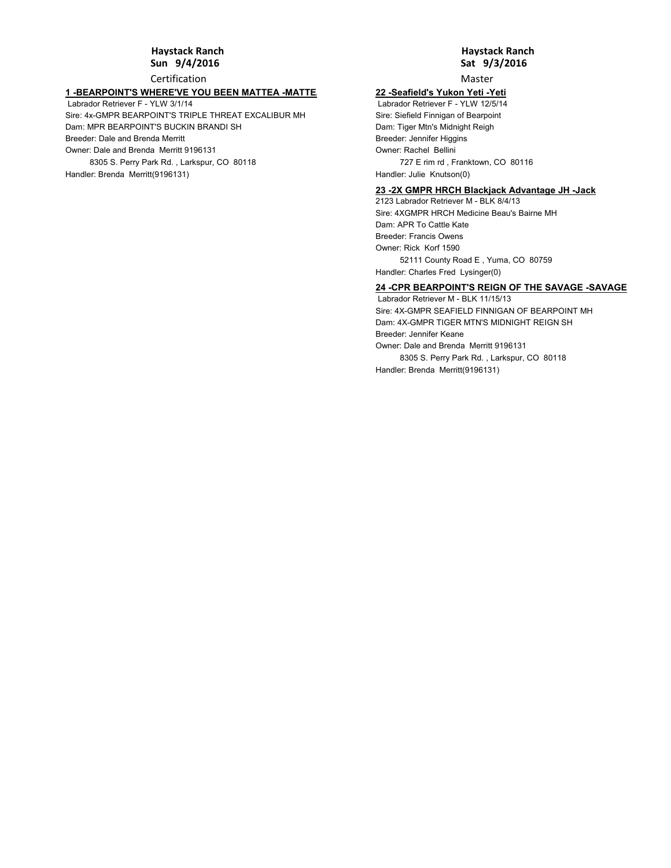#### **Sun 9/4/2016 Haystack Ranch**

Certification

# **1 -BEARPOINT'S WHERE'VE YOU BEEN MATTEA -MATTEA**

 Labrador Retriever F - YLW 3/1/14 Sire: 4x-GMPR BEARPOINT'S TRIPLE THREAT EXCALIBUR MH Dam: MPR BEARPOINT'S BUCKIN BRANDI SH Owner: Dale and Brenda Merritt 9196131 8305 S. Perry Park Rd. , Larkspur, CO 80118 Handler: Brenda Merritt(9196131) Breeder: Dale and Brenda Merritt

# **Sat 9/3/2016 Haystack Ranch**

Master

# **22 -Seafield's Yukon Yeti -Yeti**

 Labrador Retriever F - YLW 12/5/14 Sire: Siefield Finnigan of Bearpoint Dam: Tiger Mtn's Midnight Reigh Owner: Rachel Bellini 727 E rim rd , Franktown, CO 80116 Handler: Julie Knutson(0) Breeder: Jennifer Higgins

## **23 -2X GMPR HRCH Blackjack Advantage JH -Jack**

2123 Labrador Retriever M - BLK 8/4/13 Sire: 4XGMPR HRCH Medicine Beau's Bairne MH Dam: APR To Cattle Kate Owner: Rick Korf 1590 52111 County Road E , Yuma, CO 80759 Handler: Charles Fred Lysinger(0) Breeder: Francis Owens

# **24 -CPR BEARPOINT'S REIGN OF THE SAVAGE -SAVAGE**

 Labrador Retriever M - BLK 11/15/13 Sire: 4X-GMPR SEAFIELD FINNIGAN OF BEARPOINT MH Dam: 4X-GMPR TIGER MTN'S MIDNIGHT REIGN SH Owner: Dale and Brenda Merritt 9196131 8305 S. Perry Park Rd. , Larkspur, CO 80118 Handler: Brenda Merritt(9196131) Breeder: Jennifer Keane